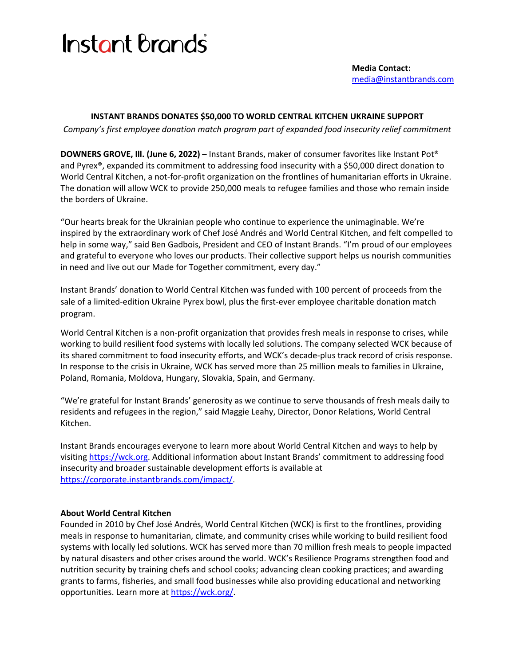## **Instant Brands**

## **INSTANT BRANDS DONATES \$50,000 TO WORLD CENTRAL KITCHEN UKRAINE SUPPORT**

*Company's first employee donation match program part of expanded food insecurity relief commitment*

**DOWNERS GROVE, Ill. (June 6, 2022)** – Instant Brands, maker of consumer favorites like Instant Pot® and Pyrex®, expanded its commitment to addressing food insecurity with a \$50,000 direct donation to World Central Kitchen, a not-for-profit organization on the frontlines of humanitarian efforts in Ukraine. The donation will allow WCK to provide 250,000 meals to refugee families and those who remain inside the borders of Ukraine.

"Our hearts break for the Ukrainian people who continue to experience the unimaginable. We're inspired by the extraordinary work of Chef José Andrés and World Central Kitchen, and felt compelled to help in some way," said Ben Gadbois, President and CEO of Instant Brands. "I'm proud of our employees and grateful to everyone who loves our products. Their collective support helps us nourish communities in need and live out our Made for Together commitment, every day."

Instant Brands' donation to World Central Kitchen was funded with 100 percent of proceeds from the sale of a limited-edition Ukraine Pyrex bowl, plus the first-ever employee charitable donation match program.

World Central Kitchen is a non-profit organization that provides fresh meals in response to crises, while working to build resilient food systems with locally led solutions. The company selected WCK because of its shared commitment to food insecurity efforts, and WCK's decade-plus track record of crisis response. In response to the crisis in Ukraine, WCK has served more than 25 million meals to families in Ukraine, Poland, Romania, Moldova, Hungary, Slovakia, Spain, and Germany.

"We're grateful for Instant Brands' generosity as we continue to serve thousands of fresh meals daily to residents and refugees in the region," said Maggie Leahy, Director, Donor Relations, World Central Kitchen.

Instant Brands encourages everyone to learn more about World Central Kitchen and ways to help by visiting [https://wck.org.](https://wck.org/) Additional information about Instant Brands' commitment to addressing food insecurity and broader sustainable development efforts is available at [https://corporate.instantbrands.com/impact/.](https://corporate.instantbrands.com/impact/)

## **About World Central Kitchen**

Founded in 2010 by Chef José Andrés, World Central Kitchen (WCK) is first to the frontlines, providing meals in response to humanitarian, climate, and community crises while working to build resilient food systems with locally led solutions. WCK has served more than 70 million fresh meals to people impacted by natural disasters and other crises around the world. WCK's Resilience Programs strengthen food and nutrition security by training chefs and school cooks; advancing clean cooking practices; and awarding grants to farms, fisheries, and small food businesses while also providing educational and networking opportunities. Learn more at [https://wck.org/.](https://wck.org/)